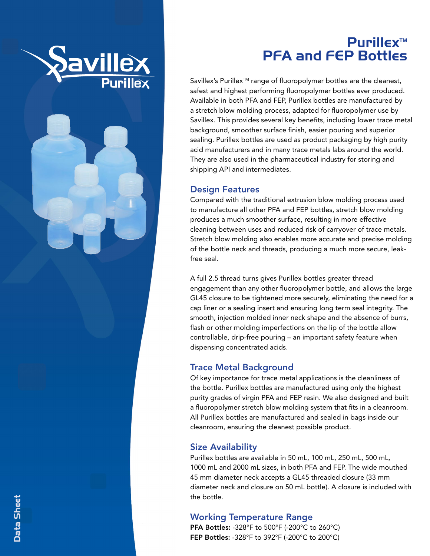

# Purillex™ PFA and FEP Bottles

Savillex's Purillex<sup>™</sup> range of fluoropolymer bottles are the cleanest, safest and highest performing fluoropolymer bottles ever produced. Available in both PFA and FEP, Purillex bottles are manufactured by a stretch blow molding process, adapted for fluoropolymer use by Savillex. This provides several key benefits, including lower trace metal background, smoother surface finish, easier pouring and superior sealing. Purillex bottles are used as product packaging by high purity acid manufacturers and in many trace metals labs around the world. They are also used in the pharmaceutical industry for storing and shipping API and intermediates.

#### Design Features

Compared with the traditional extrusion blow molding process used to manufacture all other PFA and FEP bottles, stretch blow molding produces a much smoother surface, resulting in more effective cleaning between uses and reduced risk of carryover of trace metals. Stretch blow molding also enables more accurate and precise molding of the bottle neck and threads, producing a much more secure, leakfree seal.

A full 2.5 thread turns gives Purillex bottles greater thread engagement than any other fluoropolymer bottle, and allows the large GL45 closure to be tightened more securely, eliminating the need for a cap liner or a sealing insert and ensuring long term seal integrity. The smooth, injection molded inner neck shape and the absence of burrs, flash or other molding imperfections on the lip of the bottle allow controllable, drip-free pouring – an important safety feature when dispensing concentrated acids.

## Trace Metal Background

Of key importance for trace metal applications is the cleanliness of the bottle. Purillex bottles are manufactured using only the highest purity grades of virgin PFA and FEP resin. We also designed and built a fluoropolymer stretch blow molding system that fits in a cleanroom. All Purillex bottles are manufactured and sealed in bags inside our cleanroom, ensuring the cleanest possible product.

## Size Availability

Purillex bottles are available in 50 mL, 100 mL, 250 mL, 500 mL, 1000 mL and 2000 mL sizes, in both PFA and FEP. The wide mouthed 45 mm diameter neck accepts a GL45 threaded closure (33 mm diameter neck and closure on 50 mL bottle). A closure is included with the bottle.

## Working Temperature Range

PFA Bottles: -328°F to 500°F ( -200°C to 260°C) FEP Bottles: -328°F to 392°F ( -200°C to 200°C)